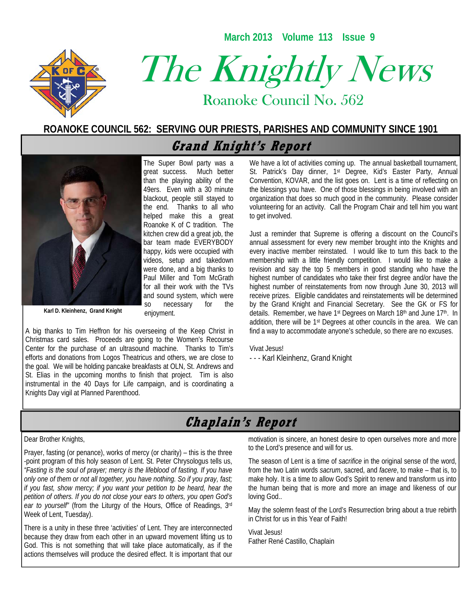**March 2013 Volume 113 Issue 9** 



# The Knightly News

Roanoke Council No. 562 Roanoke Council No. 562

## **ROANOKE COUNCIL 562: SERVING OUR PRIESTS, PARISHES AND COMMUNITY SINCE 1901**

# **Grand Knight's Report**



**Karl D. Kleinhenz, Grand Knight** 

The Super Bowl party was a great success. Much better than the playing ability of the 49ers. Even with a 30 minute blackout, people still stayed to the end. Thanks to all who helped make this a great Roanoke K of C tradition. The kitchen crew did a great job, the bar team made EVERYBODY happy, kids were occupied with videos, setup and takedown were done, and a big thanks to Paul Miller and Tom McGrath for all their work with the TVs and sound system, which were so necessary for the enjoyment.

A big thanks to Tim Heffron for his overseeing of the Keep Christ in Christmas card sales. Proceeds are going to the Women's Recourse Center for the purchase of an ultrasound machine. Thanks to Tim's efforts and donations from Logos Theatricus and others, we are close to the goal. We will be holding pancake breakfasts at OLN, St. Andrews and St. Elias in the upcoming months to finish that project. Tim is also instrumental in the 40 Days for Life campaign, and is coordinating a Knights Day vigil at Planned Parenthood.

We have a lot of activities coming up. The annual basketball tournament, St. Patrick's Day dinner, 1<sup>st</sup> Degree, Kid's Easter Party, Annual Convention, KOVAR, and the list goes on. Lent is a time of reflecting on the blessings you have. One of those blessings in being involved with an organization that does so much good in the community. Please consider volunteering for an activity. Call the Program Chair and tell him you want to get involved.

Just a reminder that Supreme is offering a discount on the Council's annual assessment for every new member brought into the Knights and every inactive member reinstated. I would like to turn this back to the membership with a little friendly competition. I would like to make a revision and say the top 5 members in good standing who have the highest number of candidates who take their first degree and/or have the highest number of reinstatements from now through June 30, 2013 will receive prizes. Eligible candidates and reinstatements will be determined by the Grand Knight and Financial Secretary. See the GK or FS for details. Remember, we have 1<sup>st</sup> Degrees on March 18<sup>th</sup> and June 17<sup>th</sup>. In addition, there will be 1<sup>st</sup> Degrees at other councils in the area. We can find a way to accommodate anyone's schedule, so there are no excuses.

#### Vivat Jesus!

- - - Karl Kleinhenz, Grand Knight

## **Chaplain's Report**

#### Dear Brother Knights,

Prayer, fasting (or penance), works of mercy (or charity) – this is the three -point program of this holy season of Lent. St. Peter Chrysologus tells us, *"Fasting is the soul of prayer; mercy is the lifeblood of fasting. If you have only one of them or not all together, you have nothing. So if you pray, fast; if you fast, show mercy; if you want your petition to be heard, hear the petition of others. If you do not close your ears to others, you open God's ear to yourself"* (from the Liturgy of the Hours, Office of Readings, 3rd Week of Lent, Tuesday).

There is a unity in these three 'activities' of Lent. They are interconnected because they draw from each other in an upward movement lifting us to God. This is not something that will take place automatically, as if the actions themselves will produce the desired effect. It is important that our motivation is sincere, an honest desire to open ourselves more and more to the Lord's presence and will for us.

The season of Lent is a time of *sacrifice* in the original sense of the word, from the two Latin words *sacrum*, sacred, and *facere*, to make – that is, to make holy. It is a time to allow God's Spirit to renew and transform us into the human being that is more and more an image and likeness of our loving God..

May the solemn feast of the Lord's Resurrection bring about a true rebirth in Christ for us in this Year of Faith!

Vivat Jesus! Father René Castillo, Chaplain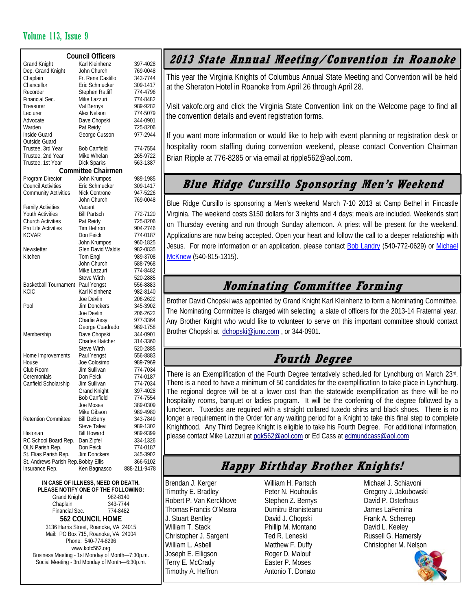### Volume 113, Issue 9

| <b>Grand Knight</b><br>Karl Kleinhenz<br>397-4028<br>Dep. Grand Knight<br>John Church<br>769-0048<br>Chaplain<br>Fr. Rene Castillo<br>343-7744<br>Chancellor<br>Eric Schmucker<br>309-1417<br>Recorder<br>Stephen Ratliff<br>774-4796<br>Financial Sec.<br>Mike Lazzuri<br>774-8482<br>Treasurer<br>Val Bernys<br>989-9282<br>Alex Nelson<br>Lecturer<br>774-5079<br>Advocate<br>Dave Chopski<br>344-0901<br>Warden<br>Pat Reidy<br>725-8206<br>George Cusson<br>977-2944<br>Inside Guard<br>Outside Guard<br>Trustee, 3rd Year<br><b>Bob Canfield</b><br>774-7554<br>Trustee, 2nd Year<br>Mike Whelan<br>265-9722<br>Trustee, 1st Year<br><b>Dick Sparks</b><br>563-1387<br><b>Committee Chairmen</b><br>Program Director<br>John Krumpos<br>989-1985<br><b>Council Activities</b><br>Eric Schmucker<br>309-1417<br><b>Community Activities</b><br>Nick Centrone<br>947-5226<br>John Church<br>769-0048<br><b>Family Activities</b><br>Vacant<br><b>Youth Activities</b><br>Bill Partsch<br>772-7120<br><b>Church Activities</b><br>Pat Reidy<br>725-8206<br>Pro Life Activities<br>Tim Heffron<br>904-2746<br><b>KOVAR</b><br>Don Feick<br>774-0187<br>John Krumpos<br>960-1825<br>Newsletter<br><b>Glen David Waldis</b><br>982-0835<br>Kitchen<br>Tom Engl<br>989-3708<br>John Church<br>588-7968<br>Mike Lazzuri<br>774-8482<br>Steve Wirth<br>520-2885<br><b>Basketball Tournament</b><br>Paul Yengst<br>556-8883<br><b>KCIC</b><br>Karl Kleinhenz<br>982-8140<br>Joe Devlin<br>206-2622<br>Pool<br>Jim Donckers<br>345-3902<br>Joe Devlin<br>206-2622<br>Charlie Aesy<br>977-3364<br>George Cuadrado<br>989-1758<br>Dave Chopski<br>Membership<br>344-0901<br><b>Charles Hatcher</b><br>314-3360<br>Steve Wirth<br>520-2885<br>Home Improvements<br>Paul Yengst<br>556-8883<br>House<br>Joe Colosimo<br>989-7969<br>Club Room<br>Jim Sullivan<br>774-7034<br>Ceremonials<br>Don Feick<br>774-0187<br>Canfield Scholarship<br>Jim Sullivan<br>774-7034<br>397-4028<br>Grand Knight<br><b>Bob Canfield</b><br>774-7554<br>Joe Moses<br>389-0309<br>Mike Gibson<br>989-4980<br><b>Retention Committee</b><br><b>Bill DeBerry</b><br>343-7849<br>Steve Talevi<br>989-1302<br>Historian<br><b>Bill Howard</b><br>989-9399<br>RC School Board Rep.<br>Dan Zipfel<br>334-1326<br>Don Feick<br>OLN Parish Rep.<br>774-0187<br><b>Jim Donckers</b><br>St. Elias Parish Rep.<br>345-3902<br>St. Andrews Parish Rep. Bobby Ellis<br>366-5102<br>Insurance Rep.<br>888-211-9478 | <b>Council Officers</b> |              |  |  |  |  |  |  |  |
|----------------------------------------------------------------------------------------------------------------------------------------------------------------------------------------------------------------------------------------------------------------------------------------------------------------------------------------------------------------------------------------------------------------------------------------------------------------------------------------------------------------------------------------------------------------------------------------------------------------------------------------------------------------------------------------------------------------------------------------------------------------------------------------------------------------------------------------------------------------------------------------------------------------------------------------------------------------------------------------------------------------------------------------------------------------------------------------------------------------------------------------------------------------------------------------------------------------------------------------------------------------------------------------------------------------------------------------------------------------------------------------------------------------------------------------------------------------------------------------------------------------------------------------------------------------------------------------------------------------------------------------------------------------------------------------------------------------------------------------------------------------------------------------------------------------------------------------------------------------------------------------------------------------------------------------------------------------------------------------------------------------------------------------------------------------------------------------------------------------------------------------------------------------------------------------------------------------------------------------------------------------------------------------------------------------------------------------------------------------------------------------------------------------------------------------------------------------------------|-------------------------|--------------|--|--|--|--|--|--|--|
|                                                                                                                                                                                                                                                                                                                                                                                                                                                                                                                                                                                                                                                                                                                                                                                                                                                                                                                                                                                                                                                                                                                                                                                                                                                                                                                                                                                                                                                                                                                                                                                                                                                                                                                                                                                                                                                                                                                                                                                                                                                                                                                                                                                                                                                                                                                                                                                                                                                                            |                         |              |  |  |  |  |  |  |  |
|                                                                                                                                                                                                                                                                                                                                                                                                                                                                                                                                                                                                                                                                                                                                                                                                                                                                                                                                                                                                                                                                                                                                                                                                                                                                                                                                                                                                                                                                                                                                                                                                                                                                                                                                                                                                                                                                                                                                                                                                                                                                                                                                                                                                                                                                                                                                                                                                                                                                            |                         |              |  |  |  |  |  |  |  |
|                                                                                                                                                                                                                                                                                                                                                                                                                                                                                                                                                                                                                                                                                                                                                                                                                                                                                                                                                                                                                                                                                                                                                                                                                                                                                                                                                                                                                                                                                                                                                                                                                                                                                                                                                                                                                                                                                                                                                                                                                                                                                                                                                                                                                                                                                                                                                                                                                                                                            |                         |              |  |  |  |  |  |  |  |
|                                                                                                                                                                                                                                                                                                                                                                                                                                                                                                                                                                                                                                                                                                                                                                                                                                                                                                                                                                                                                                                                                                                                                                                                                                                                                                                                                                                                                                                                                                                                                                                                                                                                                                                                                                                                                                                                                                                                                                                                                                                                                                                                                                                                                                                                                                                                                                                                                                                                            |                         |              |  |  |  |  |  |  |  |
|                                                                                                                                                                                                                                                                                                                                                                                                                                                                                                                                                                                                                                                                                                                                                                                                                                                                                                                                                                                                                                                                                                                                                                                                                                                                                                                                                                                                                                                                                                                                                                                                                                                                                                                                                                                                                                                                                                                                                                                                                                                                                                                                                                                                                                                                                                                                                                                                                                                                            |                         |              |  |  |  |  |  |  |  |
|                                                                                                                                                                                                                                                                                                                                                                                                                                                                                                                                                                                                                                                                                                                                                                                                                                                                                                                                                                                                                                                                                                                                                                                                                                                                                                                                                                                                                                                                                                                                                                                                                                                                                                                                                                                                                                                                                                                                                                                                                                                                                                                                                                                                                                                                                                                                                                                                                                                                            |                         |              |  |  |  |  |  |  |  |
|                                                                                                                                                                                                                                                                                                                                                                                                                                                                                                                                                                                                                                                                                                                                                                                                                                                                                                                                                                                                                                                                                                                                                                                                                                                                                                                                                                                                                                                                                                                                                                                                                                                                                                                                                                                                                                                                                                                                                                                                                                                                                                                                                                                                                                                                                                                                                                                                                                                                            |                         |              |  |  |  |  |  |  |  |
|                                                                                                                                                                                                                                                                                                                                                                                                                                                                                                                                                                                                                                                                                                                                                                                                                                                                                                                                                                                                                                                                                                                                                                                                                                                                                                                                                                                                                                                                                                                                                                                                                                                                                                                                                                                                                                                                                                                                                                                                                                                                                                                                                                                                                                                                                                                                                                                                                                                                            |                         |              |  |  |  |  |  |  |  |
|                                                                                                                                                                                                                                                                                                                                                                                                                                                                                                                                                                                                                                                                                                                                                                                                                                                                                                                                                                                                                                                                                                                                                                                                                                                                                                                                                                                                                                                                                                                                                                                                                                                                                                                                                                                                                                                                                                                                                                                                                                                                                                                                                                                                                                                                                                                                                                                                                                                                            |                         |              |  |  |  |  |  |  |  |
|                                                                                                                                                                                                                                                                                                                                                                                                                                                                                                                                                                                                                                                                                                                                                                                                                                                                                                                                                                                                                                                                                                                                                                                                                                                                                                                                                                                                                                                                                                                                                                                                                                                                                                                                                                                                                                                                                                                                                                                                                                                                                                                                                                                                                                                                                                                                                                                                                                                                            |                         |              |  |  |  |  |  |  |  |
|                                                                                                                                                                                                                                                                                                                                                                                                                                                                                                                                                                                                                                                                                                                                                                                                                                                                                                                                                                                                                                                                                                                                                                                                                                                                                                                                                                                                                                                                                                                                                                                                                                                                                                                                                                                                                                                                                                                                                                                                                                                                                                                                                                                                                                                                                                                                                                                                                                                                            |                         |              |  |  |  |  |  |  |  |
|                                                                                                                                                                                                                                                                                                                                                                                                                                                                                                                                                                                                                                                                                                                                                                                                                                                                                                                                                                                                                                                                                                                                                                                                                                                                                                                                                                                                                                                                                                                                                                                                                                                                                                                                                                                                                                                                                                                                                                                                                                                                                                                                                                                                                                                                                                                                                                                                                                                                            |                         |              |  |  |  |  |  |  |  |
|                                                                                                                                                                                                                                                                                                                                                                                                                                                                                                                                                                                                                                                                                                                                                                                                                                                                                                                                                                                                                                                                                                                                                                                                                                                                                                                                                                                                                                                                                                                                                                                                                                                                                                                                                                                                                                                                                                                                                                                                                                                                                                                                                                                                                                                                                                                                                                                                                                                                            |                         |              |  |  |  |  |  |  |  |
|                                                                                                                                                                                                                                                                                                                                                                                                                                                                                                                                                                                                                                                                                                                                                                                                                                                                                                                                                                                                                                                                                                                                                                                                                                                                                                                                                                                                                                                                                                                                                                                                                                                                                                                                                                                                                                                                                                                                                                                                                                                                                                                                                                                                                                                                                                                                                                                                                                                                            |                         |              |  |  |  |  |  |  |  |
|                                                                                                                                                                                                                                                                                                                                                                                                                                                                                                                                                                                                                                                                                                                                                                                                                                                                                                                                                                                                                                                                                                                                                                                                                                                                                                                                                                                                                                                                                                                                                                                                                                                                                                                                                                                                                                                                                                                                                                                                                                                                                                                                                                                                                                                                                                                                                                                                                                                                            |                         |              |  |  |  |  |  |  |  |
|                                                                                                                                                                                                                                                                                                                                                                                                                                                                                                                                                                                                                                                                                                                                                                                                                                                                                                                                                                                                                                                                                                                                                                                                                                                                                                                                                                                                                                                                                                                                                                                                                                                                                                                                                                                                                                                                                                                                                                                                                                                                                                                                                                                                                                                                                                                                                                                                                                                                            |                         |              |  |  |  |  |  |  |  |
|                                                                                                                                                                                                                                                                                                                                                                                                                                                                                                                                                                                                                                                                                                                                                                                                                                                                                                                                                                                                                                                                                                                                                                                                                                                                                                                                                                                                                                                                                                                                                                                                                                                                                                                                                                                                                                                                                                                                                                                                                                                                                                                                                                                                                                                                                                                                                                                                                                                                            |                         |              |  |  |  |  |  |  |  |
|                                                                                                                                                                                                                                                                                                                                                                                                                                                                                                                                                                                                                                                                                                                                                                                                                                                                                                                                                                                                                                                                                                                                                                                                                                                                                                                                                                                                                                                                                                                                                                                                                                                                                                                                                                                                                                                                                                                                                                                                                                                                                                                                                                                                                                                                                                                                                                                                                                                                            |                         |              |  |  |  |  |  |  |  |
|                                                                                                                                                                                                                                                                                                                                                                                                                                                                                                                                                                                                                                                                                                                                                                                                                                                                                                                                                                                                                                                                                                                                                                                                                                                                                                                                                                                                                                                                                                                                                                                                                                                                                                                                                                                                                                                                                                                                                                                                                                                                                                                                                                                                                                                                                                                                                                                                                                                                            |                         |              |  |  |  |  |  |  |  |
|                                                                                                                                                                                                                                                                                                                                                                                                                                                                                                                                                                                                                                                                                                                                                                                                                                                                                                                                                                                                                                                                                                                                                                                                                                                                                                                                                                                                                                                                                                                                                                                                                                                                                                                                                                                                                                                                                                                                                                                                                                                                                                                                                                                                                                                                                                                                                                                                                                                                            |                         |              |  |  |  |  |  |  |  |
|                                                                                                                                                                                                                                                                                                                                                                                                                                                                                                                                                                                                                                                                                                                                                                                                                                                                                                                                                                                                                                                                                                                                                                                                                                                                                                                                                                                                                                                                                                                                                                                                                                                                                                                                                                                                                                                                                                                                                                                                                                                                                                                                                                                                                                                                                                                                                                                                                                                                            |                         |              |  |  |  |  |  |  |  |
|                                                                                                                                                                                                                                                                                                                                                                                                                                                                                                                                                                                                                                                                                                                                                                                                                                                                                                                                                                                                                                                                                                                                                                                                                                                                                                                                                                                                                                                                                                                                                                                                                                                                                                                                                                                                                                                                                                                                                                                                                                                                                                                                                                                                                                                                                                                                                                                                                                                                            |                         |              |  |  |  |  |  |  |  |
|                                                                                                                                                                                                                                                                                                                                                                                                                                                                                                                                                                                                                                                                                                                                                                                                                                                                                                                                                                                                                                                                                                                                                                                                                                                                                                                                                                                                                                                                                                                                                                                                                                                                                                                                                                                                                                                                                                                                                                                                                                                                                                                                                                                                                                                                                                                                                                                                                                                                            |                         |              |  |  |  |  |  |  |  |
|                                                                                                                                                                                                                                                                                                                                                                                                                                                                                                                                                                                                                                                                                                                                                                                                                                                                                                                                                                                                                                                                                                                                                                                                                                                                                                                                                                                                                                                                                                                                                                                                                                                                                                                                                                                                                                                                                                                                                                                                                                                                                                                                                                                                                                                                                                                                                                                                                                                                            |                         |              |  |  |  |  |  |  |  |
|                                                                                                                                                                                                                                                                                                                                                                                                                                                                                                                                                                                                                                                                                                                                                                                                                                                                                                                                                                                                                                                                                                                                                                                                                                                                                                                                                                                                                                                                                                                                                                                                                                                                                                                                                                                                                                                                                                                                                                                                                                                                                                                                                                                                                                                                                                                                                                                                                                                                            |                         |              |  |  |  |  |  |  |  |
|                                                                                                                                                                                                                                                                                                                                                                                                                                                                                                                                                                                                                                                                                                                                                                                                                                                                                                                                                                                                                                                                                                                                                                                                                                                                                                                                                                                                                                                                                                                                                                                                                                                                                                                                                                                                                                                                                                                                                                                                                                                                                                                                                                                                                                                                                                                                                                                                                                                                            |                         |              |  |  |  |  |  |  |  |
|                                                                                                                                                                                                                                                                                                                                                                                                                                                                                                                                                                                                                                                                                                                                                                                                                                                                                                                                                                                                                                                                                                                                                                                                                                                                                                                                                                                                                                                                                                                                                                                                                                                                                                                                                                                                                                                                                                                                                                                                                                                                                                                                                                                                                                                                                                                                                                                                                                                                            |                         |              |  |  |  |  |  |  |  |
|                                                                                                                                                                                                                                                                                                                                                                                                                                                                                                                                                                                                                                                                                                                                                                                                                                                                                                                                                                                                                                                                                                                                                                                                                                                                                                                                                                                                                                                                                                                                                                                                                                                                                                                                                                                                                                                                                                                                                                                                                                                                                                                                                                                                                                                                                                                                                                                                                                                                            |                         |              |  |  |  |  |  |  |  |
|                                                                                                                                                                                                                                                                                                                                                                                                                                                                                                                                                                                                                                                                                                                                                                                                                                                                                                                                                                                                                                                                                                                                                                                                                                                                                                                                                                                                                                                                                                                                                                                                                                                                                                                                                                                                                                                                                                                                                                                                                                                                                                                                                                                                                                                                                                                                                                                                                                                                            |                         |              |  |  |  |  |  |  |  |
|                                                                                                                                                                                                                                                                                                                                                                                                                                                                                                                                                                                                                                                                                                                                                                                                                                                                                                                                                                                                                                                                                                                                                                                                                                                                                                                                                                                                                                                                                                                                                                                                                                                                                                                                                                                                                                                                                                                                                                                                                                                                                                                                                                                                                                                                                                                                                                                                                                                                            |                         |              |  |  |  |  |  |  |  |
|                                                                                                                                                                                                                                                                                                                                                                                                                                                                                                                                                                                                                                                                                                                                                                                                                                                                                                                                                                                                                                                                                                                                                                                                                                                                                                                                                                                                                                                                                                                                                                                                                                                                                                                                                                                                                                                                                                                                                                                                                                                                                                                                                                                                                                                                                                                                                                                                                                                                            |                         |              |  |  |  |  |  |  |  |
|                                                                                                                                                                                                                                                                                                                                                                                                                                                                                                                                                                                                                                                                                                                                                                                                                                                                                                                                                                                                                                                                                                                                                                                                                                                                                                                                                                                                                                                                                                                                                                                                                                                                                                                                                                                                                                                                                                                                                                                                                                                                                                                                                                                                                                                                                                                                                                                                                                                                            |                         |              |  |  |  |  |  |  |  |
|                                                                                                                                                                                                                                                                                                                                                                                                                                                                                                                                                                                                                                                                                                                                                                                                                                                                                                                                                                                                                                                                                                                                                                                                                                                                                                                                                                                                                                                                                                                                                                                                                                                                                                                                                                                                                                                                                                                                                                                                                                                                                                                                                                                                                                                                                                                                                                                                                                                                            |                         |              |  |  |  |  |  |  |  |
|                                                                                                                                                                                                                                                                                                                                                                                                                                                                                                                                                                                                                                                                                                                                                                                                                                                                                                                                                                                                                                                                                                                                                                                                                                                                                                                                                                                                                                                                                                                                                                                                                                                                                                                                                                                                                                                                                                                                                                                                                                                                                                                                                                                                                                                                                                                                                                                                                                                                            |                         |              |  |  |  |  |  |  |  |
|                                                                                                                                                                                                                                                                                                                                                                                                                                                                                                                                                                                                                                                                                                                                                                                                                                                                                                                                                                                                                                                                                                                                                                                                                                                                                                                                                                                                                                                                                                                                                                                                                                                                                                                                                                                                                                                                                                                                                                                                                                                                                                                                                                                                                                                                                                                                                                                                                                                                            |                         |              |  |  |  |  |  |  |  |
|                                                                                                                                                                                                                                                                                                                                                                                                                                                                                                                                                                                                                                                                                                                                                                                                                                                                                                                                                                                                                                                                                                                                                                                                                                                                                                                                                                                                                                                                                                                                                                                                                                                                                                                                                                                                                                                                                                                                                                                                                                                                                                                                                                                                                                                                                                                                                                                                                                                                            |                         |              |  |  |  |  |  |  |  |
|                                                                                                                                                                                                                                                                                                                                                                                                                                                                                                                                                                                                                                                                                                                                                                                                                                                                                                                                                                                                                                                                                                                                                                                                                                                                                                                                                                                                                                                                                                                                                                                                                                                                                                                                                                                                                                                                                                                                                                                                                                                                                                                                                                                                                                                                                                                                                                                                                                                                            |                         |              |  |  |  |  |  |  |  |
|                                                                                                                                                                                                                                                                                                                                                                                                                                                                                                                                                                                                                                                                                                                                                                                                                                                                                                                                                                                                                                                                                                                                                                                                                                                                                                                                                                                                                                                                                                                                                                                                                                                                                                                                                                                                                                                                                                                                                                                                                                                                                                                                                                                                                                                                                                                                                                                                                                                                            |                         |              |  |  |  |  |  |  |  |
|                                                                                                                                                                                                                                                                                                                                                                                                                                                                                                                                                                                                                                                                                                                                                                                                                                                                                                                                                                                                                                                                                                                                                                                                                                                                                                                                                                                                                                                                                                                                                                                                                                                                                                                                                                                                                                                                                                                                                                                                                                                                                                                                                                                                                                                                                                                                                                                                                                                                            |                         |              |  |  |  |  |  |  |  |
|                                                                                                                                                                                                                                                                                                                                                                                                                                                                                                                                                                                                                                                                                                                                                                                                                                                                                                                                                                                                                                                                                                                                                                                                                                                                                                                                                                                                                                                                                                                                                                                                                                                                                                                                                                                                                                                                                                                                                                                                                                                                                                                                                                                                                                                                                                                                                                                                                                                                            |                         |              |  |  |  |  |  |  |  |
|                                                                                                                                                                                                                                                                                                                                                                                                                                                                                                                                                                                                                                                                                                                                                                                                                                                                                                                                                                                                                                                                                                                                                                                                                                                                                                                                                                                                                                                                                                                                                                                                                                                                                                                                                                                                                                                                                                                                                                                                                                                                                                                                                                                                                                                                                                                                                                                                                                                                            |                         |              |  |  |  |  |  |  |  |
|                                                                                                                                                                                                                                                                                                                                                                                                                                                                                                                                                                                                                                                                                                                                                                                                                                                                                                                                                                                                                                                                                                                                                                                                                                                                                                                                                                                                                                                                                                                                                                                                                                                                                                                                                                                                                                                                                                                                                                                                                                                                                                                                                                                                                                                                                                                                                                                                                                                                            |                         |              |  |  |  |  |  |  |  |
|                                                                                                                                                                                                                                                                                                                                                                                                                                                                                                                                                                                                                                                                                                                                                                                                                                                                                                                                                                                                                                                                                                                                                                                                                                                                                                                                                                                                                                                                                                                                                                                                                                                                                                                                                                                                                                                                                                                                                                                                                                                                                                                                                                                                                                                                                                                                                                                                                                                                            |                         |              |  |  |  |  |  |  |  |
|                                                                                                                                                                                                                                                                                                                                                                                                                                                                                                                                                                                                                                                                                                                                                                                                                                                                                                                                                                                                                                                                                                                                                                                                                                                                                                                                                                                                                                                                                                                                                                                                                                                                                                                                                                                                                                                                                                                                                                                                                                                                                                                                                                                                                                                                                                                                                                                                                                                                            |                         |              |  |  |  |  |  |  |  |
|                                                                                                                                                                                                                                                                                                                                                                                                                                                                                                                                                                                                                                                                                                                                                                                                                                                                                                                                                                                                                                                                                                                                                                                                                                                                                                                                                                                                                                                                                                                                                                                                                                                                                                                                                                                                                                                                                                                                                                                                                                                                                                                                                                                                                                                                                                                                                                                                                                                                            |                         |              |  |  |  |  |  |  |  |
|                                                                                                                                                                                                                                                                                                                                                                                                                                                                                                                                                                                                                                                                                                                                                                                                                                                                                                                                                                                                                                                                                                                                                                                                                                                                                                                                                                                                                                                                                                                                                                                                                                                                                                                                                                                                                                                                                                                                                                                                                                                                                                                                                                                                                                                                                                                                                                                                                                                                            |                         |              |  |  |  |  |  |  |  |
|                                                                                                                                                                                                                                                                                                                                                                                                                                                                                                                                                                                                                                                                                                                                                                                                                                                                                                                                                                                                                                                                                                                                                                                                                                                                                                                                                                                                                                                                                                                                                                                                                                                                                                                                                                                                                                                                                                                                                                                                                                                                                                                                                                                                                                                                                                                                                                                                                                                                            |                         |              |  |  |  |  |  |  |  |
|                                                                                                                                                                                                                                                                                                                                                                                                                                                                                                                                                                                                                                                                                                                                                                                                                                                                                                                                                                                                                                                                                                                                                                                                                                                                                                                                                                                                                                                                                                                                                                                                                                                                                                                                                                                                                                                                                                                                                                                                                                                                                                                                                                                                                                                                                                                                                                                                                                                                            |                         |              |  |  |  |  |  |  |  |
|                                                                                                                                                                                                                                                                                                                                                                                                                                                                                                                                                                                                                                                                                                                                                                                                                                                                                                                                                                                                                                                                                                                                                                                                                                                                                                                                                                                                                                                                                                                                                                                                                                                                                                                                                                                                                                                                                                                                                                                                                                                                                                                                                                                                                                                                                                                                                                                                                                                                            |                         |              |  |  |  |  |  |  |  |
|                                                                                                                                                                                                                                                                                                                                                                                                                                                                                                                                                                                                                                                                                                                                                                                                                                                                                                                                                                                                                                                                                                                                                                                                                                                                                                                                                                                                                                                                                                                                                                                                                                                                                                                                                                                                                                                                                                                                                                                                                                                                                                                                                                                                                                                                                                                                                                                                                                                                            |                         |              |  |  |  |  |  |  |  |
|                                                                                                                                                                                                                                                                                                                                                                                                                                                                                                                                                                                                                                                                                                                                                                                                                                                                                                                                                                                                                                                                                                                                                                                                                                                                                                                                                                                                                                                                                                                                                                                                                                                                                                                                                                                                                                                                                                                                                                                                                                                                                                                                                                                                                                                                                                                                                                                                                                                                            |                         |              |  |  |  |  |  |  |  |
|                                                                                                                                                                                                                                                                                                                                                                                                                                                                                                                                                                                                                                                                                                                                                                                                                                                                                                                                                                                                                                                                                                                                                                                                                                                                                                                                                                                                                                                                                                                                                                                                                                                                                                                                                                                                                                                                                                                                                                                                                                                                                                                                                                                                                                                                                                                                                                                                                                                                            |                         |              |  |  |  |  |  |  |  |
|                                                                                                                                                                                                                                                                                                                                                                                                                                                                                                                                                                                                                                                                                                                                                                                                                                                                                                                                                                                                                                                                                                                                                                                                                                                                                                                                                                                                                                                                                                                                                                                                                                                                                                                                                                                                                                                                                                                                                                                                                                                                                                                                                                                                                                                                                                                                                                                                                                                                            |                         |              |  |  |  |  |  |  |  |
|                                                                                                                                                                                                                                                                                                                                                                                                                                                                                                                                                                                                                                                                                                                                                                                                                                                                                                                                                                                                                                                                                                                                                                                                                                                                                                                                                                                                                                                                                                                                                                                                                                                                                                                                                                                                                                                                                                                                                                                                                                                                                                                                                                                                                                                                                                                                                                                                                                                                            |                         |              |  |  |  |  |  |  |  |
|                                                                                                                                                                                                                                                                                                                                                                                                                                                                                                                                                                                                                                                                                                                                                                                                                                                                                                                                                                                                                                                                                                                                                                                                                                                                                                                                                                                                                                                                                                                                                                                                                                                                                                                                                                                                                                                                                                                                                                                                                                                                                                                                                                                                                                                                                                                                                                                                                                                                            |                         |              |  |  |  |  |  |  |  |
|                                                                                                                                                                                                                                                                                                                                                                                                                                                                                                                                                                                                                                                                                                                                                                                                                                                                                                                                                                                                                                                                                                                                                                                                                                                                                                                                                                                                                                                                                                                                                                                                                                                                                                                                                                                                                                                                                                                                                                                                                                                                                                                                                                                                                                                                                                                                                                                                                                                                            |                         |              |  |  |  |  |  |  |  |
|                                                                                                                                                                                                                                                                                                                                                                                                                                                                                                                                                                                                                                                                                                                                                                                                                                                                                                                                                                                                                                                                                                                                                                                                                                                                                                                                                                                                                                                                                                                                                                                                                                                                                                                                                                                                                                                                                                                                                                                                                                                                                                                                                                                                                                                                                                                                                                                                                                                                            |                         |              |  |  |  |  |  |  |  |
|                                                                                                                                                                                                                                                                                                                                                                                                                                                                                                                                                                                                                                                                                                                                                                                                                                                                                                                                                                                                                                                                                                                                                                                                                                                                                                                                                                                                                                                                                                                                                                                                                                                                                                                                                                                                                                                                                                                                                                                                                                                                                                                                                                                                                                                                                                                                                                                                                                                                            |                         | Ken Bagnasco |  |  |  |  |  |  |  |

**IN CASE OF ILLNESS, NEED OR DEATH, PLEASE NOTIFY ONE OF THE FOLLOWING:**  Grand Knight 982-8140 Chaplain 343-7744<br>Financial Sec. 774-8482 Financial Sec. **562 COUNCIL HOME**  3136 Harris Street, Roanoke, VA 24015 Mail: PO Box 715, Roanoke, VA 24004 Phone: 540-774-8296 www.kofc562.org Business Meeting - 1st Monday of Month—7:30p.m. Social Meeting - 3rd Monday of Month—6:30p.m.

## **2013 State Annual Meeting/Convention in Roanoke**

This year the Virginia Knights of Columbus Annual State Meeting and Convention will be held at the Sheraton Hotel in Roanoke from April 26 through April 28.

Visit vakofc.org and click the Virginia State Convention link on the Welcome page to find all the convention details and event registration forms.

If you want more information or would like to help with event planning or registration desk or hospitality room staffing during convention weekend, please contact Convention Chairman Brian Ripple at 776-8285 or via email at ripple562@aol.com.

## **Blue Ridge Cursillo Sponsoring Men's Weekend**

Blue Ridge Cursillo is sponsoring a Men's weekend March 7-10 2013 at Camp Bethel in Fincastle Virginia. The weekend costs \$150 dollars for 3 nights and 4 days; meals are included. Weekends start on Thursday evening and run through Sunday afternoon. A priest will be present for the weekend. Applications are now being accepted. Open your heart and follow the call to a deeper relationship with Jesus. For more information or an application, please contact Bob Landry (540-772-0629) or Michael McKnew (540-815-1315).

## **Nominating Committee Forming**

Brother David Chopski was appointed by Grand Knight Karl Kleinhenz to form a Nominating Committee. The Nominating Committee is charged with selecting a slate of officers for the 2013-14 Fraternal year. Any Brother Knight who would like to volunteer to serve on this important committee should contact Brother Chopski at dchopski@juno.com , or 344-0901.

## **Fourth Degree**

There is an Exemplification of the Fourth Degree tentatively scheduled for Lynchburg on March 23rd. There is a need to have a minimum of 50 candidates for the exemplification to take place in Lynchburg. The regional degree will be at a lower cost than the statewide exemplification as there will be no hospitality rooms, banquet or ladies program. It will be the conferring of the degree followed by a luncheon. Tuxedos are required with a straight collared tuxedo shirts and black shoes. There is no longer a requirement in the Order for any waiting period for a Knight to take this final step to complete Knighthood. Any Third Degree Knight is eligible to take his Fourth Degree. For additional information, please contact Mike Lazzuri at pgk562@aol.com or Ed Cass at edmundcass@aol.com

## **Happy Birthday Brother Knights!**

Brendan J. Kerger Timothy E. Bradley Robert P. Van Kerckhove Thomas Francis O'Meara J. Stuart Bentley William T. Stack Christopher J. Sargent William L. Asbell Joseph E. Elligson Terry E. McCrady Timothy A. Heffron

William H. Partsch Peter N. Houhoulis Stephen Z. Bernys Dumitru Branisteanu David J. Chopski Phillip M. Montano Ted R. Leneski Matthew F. Duffy Roger D. Malouf Easter P. Moses Antonio T. Donato

Michael J. Schiavoni Gregory J. Jakubowski David P. Osterhaus James LaFemina Frank A. Scherrep David L. Keeley Russell G. Hamersly Christopher M. Nelson

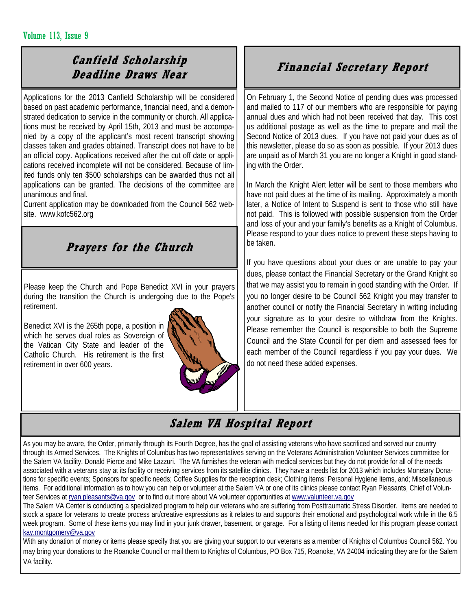#### Volume 113, Issue 9

## **Canfield Scholarship Deadline Draws Near**

Applications for the 2013 Canfield Scholarship will be considered based on past academic performance, financial need, and a demonstrated dedication to service in the community or church. All applications must be received by April 15th, 2013 and must be accompanied by a copy of the applicant's most recent transcript showing classes taken and grades obtained. Transcript does not have to be an official copy. Applications received after the cut off date or applications received incomplete will not be considered. Because of limited funds only ten \$500 scholarships can be awarded thus not all applications can be granted. The decisions of the committee are unanimous and final.

Current application may be downloaded from the Council 562 website. www.kofc562.org

## **Prayers for the Church**

Please keep the Church and Pope Benedict XVI in your prayers during the transition the Church is undergoing due to the Pope's retirement.

Benedict XVI is the 265th pope, a position in which he serves dual roles as Sovereign of the Vatican City State and leader of the Catholic Church. His retirement is the first retirement in over 600 years.



## **Financial Secretary Report**

On February 1, the Second Notice of pending dues was processed and mailed to 117 of our members who are responsible for paying annual dues and which had not been received that day. This cost us additional postage as well as the time to prepare and mail the Second Notice of 2013 dues. If you have not paid your dues as of this newsletter, please do so as soon as possible. If your 2013 dues are unpaid as of March 31 you are no longer a Knight in good standing with the Order.

In March the Knight Alert letter will be sent to those members who have not paid dues at the time of its mailing. Approximately a month later, a Notice of Intent to Suspend is sent to those who still have not paid. This is followed with possible suspension from the Order and loss of your and your family's benefits as a Knight of Columbus. Please respond to your dues notice to prevent these steps having to be taken.

If you have questions about your dues or are unable to pay your dues, please contact the Financial Secretary or the Grand Knight so that we may assist you to remain in good standing with the Order. If you no longer desire to be Council 562 Knight you may transfer to another council or notify the Financial Secretary in writing including your signature as to your desire to withdraw from the Knights. Please remember the Council is responsible to both the Supreme Council and the State Council for per diem and assessed fees for each member of the Council regardless if you pay your dues. We do not need these added expenses.

## **Salem VA Hospital Report**

As you may be aware, the Order, primarily through its Fourth Degree, has the goal of assisting veterans who have sacrificed and served our country through its Armed Services. The Knights of Columbus has two representatives serving on the Veterans Administration Volunteer Services committee for the Salem VA facility, Donald Pierce and Mike Lazzuri. The VA furnishes the veteran with medical services but they do not provide for all of the needs associated with a veterans stay at its facility or receiving services from its satellite clinics. They have a needs list for 2013 which includes Monetary Donations for specific events; Sponsors for specific needs; Coffee Supplies for the reception desk; Clothing items: Personal Hygiene items, and; Miscellaneous items. For additional information as to how you can help or volunteer at the Salem VA or one of its clinics please contact Ryan Pleasants, Chief of Volunteer Services at ryan.pleasants@va.gov or to find out more about VA volunteer opportunities at www.valunteer.va.gov

The Salem VA Center is conducting a specialized program to help our veterans who are suffering from Posttraumatic Stress Disorder. Items are needed to stock a space for veterans to create process art/creative expressions as it relates to and supports their emotional and psychological work while in the 6.5 week program. Some of these items you may find in your junk drawer, basement, or garage. For a listing of items needed for this program please contact kay.montgomery@va.gov

With any donation of money or items please specify that you are giving your support to our veterans as a member of Knights of Columbus Council 562. You may bring your donations to the Roanoke Council or mail them to Knights of Columbus, PO Box 715, Roanoke, VA 24004 indicating they are for the Salem VA facility.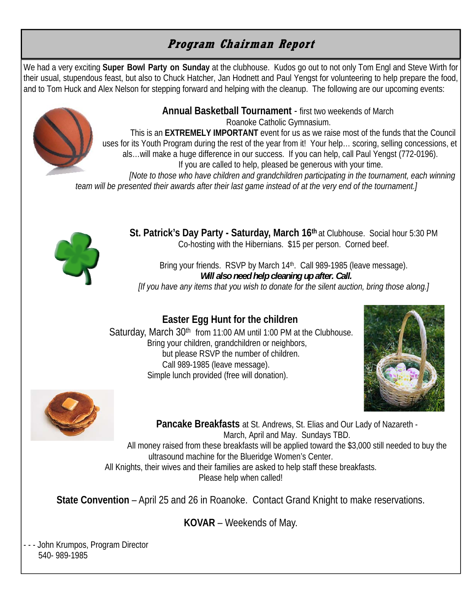## **Program Chairman Report**

We had a very exciting **Super Bowl Party on Sunday** at the clubhouse. Kudos go out to not only Tom Engl and Steve Wirth for their usual, stupendous feast, but also to Chuck Hatcher, Jan Hodnett and Paul Yengst for volunteering to help prepare the food, and to Tom Huck and Alex Nelson for stepping forward and helping with the cleanup. The following are our upcoming events:



**Annual Basketball Tournament** - first two weekends of March Roanoke Catholic Gymnasium.

This is an **EXTREMELY IMPORTANT** event for us as we raise most of the funds that the Council uses for its Youth Program during the rest of the year from it! Your help… scoring, selling concessions, et als…will make a huge difference in our success. If you can help, call Paul Yengst (772-0196). If you are called to help, pleased be generous with your time.

*[Note to those who have children and grandchildren participating in the tournament, each winning team will be presented their awards after their last game instead of at the very end of the tournament.]* 



**St. Patrick's Day Party - Saturday, March 16<sup>th</sup> at Clubhouse. Social hour 5:30 PM** Co-hosting with the Hibernians. \$15 per person. Corned beef.

Bring your friends. RSVP by March 14<sup>th</sup>. Call 989-1985 (leave message).  *Will also need help cleaning up after. Call. [If you have any items that you wish to donate for the silent auction, bring those along.]* 

## **Easter Egg Hunt for the children**

Saturday, March 30<sup>th</sup> from 11:00 AM until 1:00 PM at the Clubhouse. Bring your children, grandchildren or neighbors, but please RSVP the number of children. Call 989-1985 (leave message). Simple lunch provided (free will donation).





**Pancake Breakfasts** at St. Andrews, St. Elias and Our Lady of Nazareth - March, April and May. Sundays TBD. All money raised from these breakfasts will be applied toward the \$3,000 still needed to buy the ultrasound machine for the Blueridge Women's Center. All Knights, their wives and their families are asked to help staff these breakfasts. Please help when called!

**State Convention** – April 25 and 26 in Roanoke. Contact Grand Knight to make reservations.

**KOVAR** – Weekends of May.

- - - John Krumpos, Program Director 540- 989-1985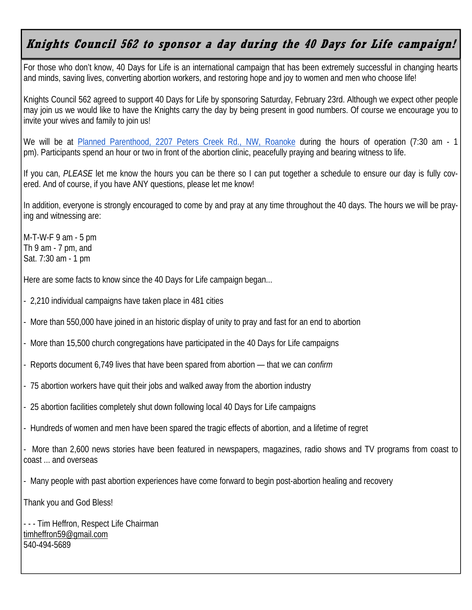## **Knights Council 562 to sponsor a day during the 40 Days for Life campaign!**

For those who don't know, 40 Days for Life is an international campaign that has been extremely successful in changing hearts and minds, saving lives, converting abortion workers, and restoring hope and joy to women and men who choose life!

Knights Council 562 agreed to support 40 Days for Life by sponsoring Saturday, February 23rd. Although we expect other people may join us we would like to have the Knights carry the day by being present in good numbers. Of course we encourage you to invite your wives and family to join us!

We will be at Planned Parenthood, 2207 Peters Creek Rd., NW, Roanoke during the hours of operation (7:30 am - 1 pm). Participants spend an hour or two in front of the abortion clinic, peacefully praying and bearing witness to life.

If you can, *PLEASE* let me know the hours you can be there so I can put together a schedule to ensure our day is fully covered. And of course, if you have ANY questions, please let me know!

In addition, everyone is strongly encouraged to come by and pray at any time throughout the 40 days. The hours we will be praying and witnessing are:

M-T-W-F 9 am - 5 pm Th  $9$  am  $-7$  pm, and Sat. 7:30 am - 1 pm

Here are some facts to know since the 40 Days for Life campaign began...

- 2,210 individual campaigns have taken place in 481 cities

- More than 550,000 have joined in an historic display of unity to pray and fast for an end to abortion

- More than 15,500 church congregations have participated in the 40 Days for Life campaigns

- Reports document 6,749 lives that have been spared from abortion — that we can *confirm* 

- 75 abortion workers have quit their jobs and walked away from the abortion industry

- 25 abortion facilities completely shut down following local 40 Days for Life campaigns

- Hundreds of women and men have been spared the tragic effects of abortion, and a lifetime of regret

- More than 2,600 news stories have been featured in newspapers, magazines, radio shows and TV programs from coast to coast ... and overseas

- Many people with past abortion experiences have come forward to begin post-abortion healing and recovery

Thank you and God Bless!

- - - Tim Heffron, Respect Life Chairman timheffron59@gmail.com 540-494-5689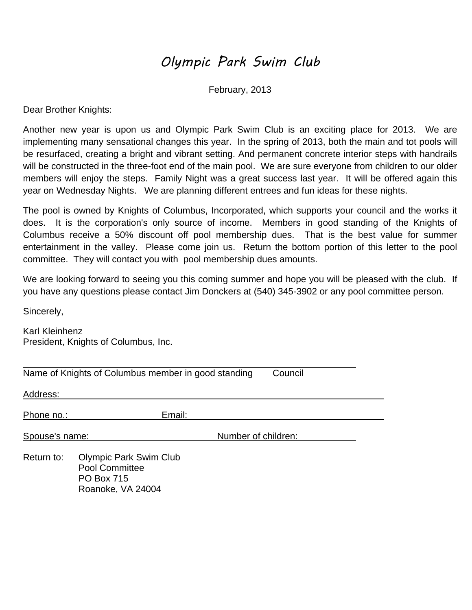## Olympic Park Swim Club

February, 2013

Dear Brother Knights:

Another new year is upon us and Olympic Park Swim Club is an exciting place for 2013. We are implementing many sensational changes this year. In the spring of 2013, both the main and tot pools will be resurfaced, creating a bright and vibrant setting. And permanent concrete interior steps with handrails will be constructed in the three-foot end of the main pool. We are sure everyone from children to our older members will enjoy the steps. Family Night was a great success last year. It will be offered again this year on Wednesday Nights. We are planning different entrees and fun ideas for these nights.

The pool is owned by Knights of Columbus, Incorporated, which supports your council and the works it does. It is the corporation's only source of income. Members in good standing of the Knights of Columbus receive a 50% discount off pool membership dues. That is the best value for summer entertainment in the valley. Please come join us. Return the bottom portion of this letter to the pool committee. They will contact you with pool membership dues amounts.

We are looking forward to seeing you this coming summer and hope you will be pleased with the club. If you have any questions please contact Jim Donckers at (540) 345-3902 or any pool committee person.

Sincerely,

Karl Kleinhenz President, Knights of Columbus, Inc.

|                | Name of Knights of Columbus member in good standing                                       |                     | Council |  |
|----------------|-------------------------------------------------------------------------------------------|---------------------|---------|--|
| Address:       |                                                                                           |                     |         |  |
| Phone no.:     | Email:                                                                                    |                     |         |  |
| Spouse's name: |                                                                                           | Number of children: |         |  |
| Return to:     | <b>Olympic Park Swim Club</b><br>Pool Committee<br><b>PO Box 715</b><br>Roanoke, VA 24004 |                     |         |  |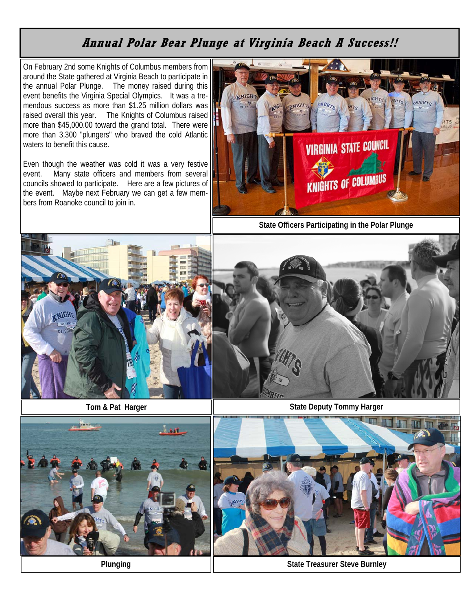## **Annual Polar Bear Plunge at Virginia Beach A Success!!**

On February 2nd some Knights of Columbus members from around the State gathered at Virginia Beach to participate in the annual Polar Plunge. The money raised during this event benefits the Virginia Special Olympics. It was a tremendous success as more than \$1.25 million dollars was raised overall this year. The Knights of Columbus raised more than \$45,000.00 toward the grand total. There were more than 3,300 "plungers" who braved the cold Atlantic waters to benefit this cause.

Even though the weather was cold it was a very festive event. Many state officers and members from several councils showed to participate. Here are a few pictures of the event. Maybe next February we can get a few members from Roanoke council to join in.





**Tom & Pat Harger** 



**State Deputy Tommy Harger** 





**Plunging Contract Property Contract Plunging Contract Plunging State Treasurer Steve Burnley**